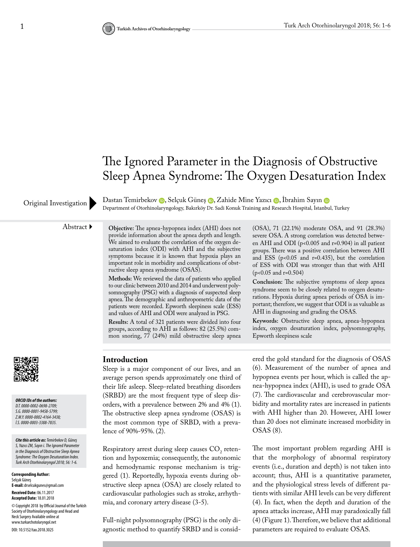## The Ignored Parameter in the Diagnosis of Obstructive Sleep Apnea Syndrome: The Oxygen Desaturation Index

DastanTemirbekov (D. Selçuk Güneş (D. Zahide Mine Yazıcı (D. Ibrahim Sayın (D Original Investigation Dastan Temirbekov D, Selçuk Guneş D, Zanide Mine Yazici D, Ibrahim Sayin D<br>Department of Otorhinolaryngology, Bakırköy Dr. Sadi Konuk Training and Research Hospital, İstanbul, Turkey

Abstract **Objective:** The apnea-hypopnea index (AHI) does not provide information about the apnea depth and length. We aimed to evaluate the correlation of the oxygen desaturation index (ODI) with AHI and the subjective symptoms because it is known that hypoxia plays an important role in morbidity and complications of obstructive sleep apnea syndrome (OSAS).

> **Methods:** We reviewed the data of patients who applied to our clinic between 2010 and 2014 and underwent polysomnography (PSG) with a diagnosis of suspected sleep apnea. The demographic and anthropometric data of the patients were recorded. Epworth sleepiness scale (ESS) and values of AHI and ODI were analyzed in PSG.

> **Results:** A total of 321 patients were divided into four groups, according to AHI as follows: 82 (25.5%) common snoring, 77 (24%) mild obstructive sleep apnea

(OSA), 71 (22.1%) moderate OSA, and 91 (28.3%) severe OSA. A strong correlation was detected between AHI and ODI (p<0.005 and r=0.904) in all patient groups. There was a positive correlation between AHI and ESS ( $p<0.05$  and  $r=0.435$ ), but the correlation of ESS with ODI was stronger than that with AHI  $(p<0.05$  and r=0.504)

**Conclusion:** The subjective symptoms of sleep apnea syndrome seem to be closely related to oxygen desaturations. Hypoxia during apnea periods of OSA is important; therefore, we suggest that ODI is as valuable as AHI in diagnosing and grading the OSAS.

**Keywords:** Obstructive sleep apnea, apnea-hypopnea index, oxygen desaturation index, polysomnography, Epworth sleepiness scale

*ORCID IDs of the authors: D.T. 0000-0002-0698-2709; S.G. 0000-0001-9458-5799; Z.M.Y. 0000-0002-4164-3438; İ.S. 0000-0003-3388-7835.*

*Cite this article as: Temirbekov D, Güneş S, Yazıcı ZM, Sayın i. The Ignored Parameter in the Diagnosis of Obstructive Sleep Apnea Syndrome: The Oxygen Desaturation Index. Turk Arch Otorhinolaryngol 2018; 56: 1-6.*

**Corresponding Author:**  Selçuk Güneş **E-mail:** drselcukgunes@gmail.com **Received Date:** 06.11.2017 **Accepted Date:** 18.01.2018 © Copyright 2018 by Official Journal of the Turkish Society of Otorhinolaryngology and Head and Neck Surgery Available online at www.turkarchotolaryngol.net DOI: 10.5152/tao.2018.3025

### **Introduction**

Sleep is a major component of our lives, and an average person spends approximately one third of their life asleep. Sleep-related breathing disorders (SRBD) are the most frequent type of sleep disorders, with a prevalence between 2% and 4% (1). The obstructive sleep apnea syndrome (OSAS) is the most common type of SRBD, with a prevalence of 90%-95%. (2).

Respiratory arrest during sleep causes  $CO_{2}$  retention and hypoxemia; consequently, the autonomic and hemodynamic response mechanism is triggered (1). Reportedly, hypoxia events during obstructive sleep apnea (OSA) are closely related to cardiovascular pathologies such as stroke, arrhythmia, and coronary artery disease (3-5).

Full-night polysomnography (PSG) is the only diagnostic method to quantify SRBD and is considered the gold standard for the diagnosis of OSAS (6). Measurement of the number of apnea and hypopnea events per hour, which is called the apnea-hypopnea index (AHI), is used to grade OSA (7). The cardiovascular and cerebrovascular morbidity and mortality rates are increased in patients with AHI higher than 20. However, AHI lower than 20 does not eliminate increased morbidity in OSAS (8).

The most important problem regarding AHI is that the morphology of abnormal respiratory events (i.e., duration and depth) is not taken into account; thus, AHI is a quantitative parameter, and the physiological stress levels of different patients with similar AHI levels can be very different (4). In fact, when the depth and duration of the apnea attacks increase, AHI may paradoxically fall (4) (Figure 1). Therefore, we believe that additional parameters are required to evaluate OSAS.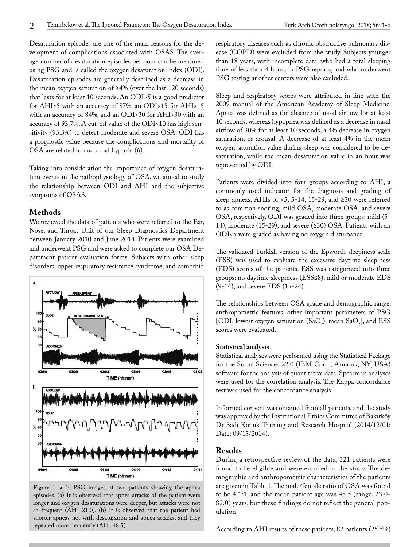Desaturation episodes are one of the main reasons for the development of complications associated with OSAS. The average number of desaturation episodes per hour can be measured using PSG and is called the oxygen desaturation index (ODI). Desaturation episodes are generally described as a decrease in the mean oxygen saturation of ≥4% (over the last 120 seconds) that lasts for at least 10 seconds. An ODI>5 is a good predictor for AHI>5 with an accuracy of 87%, an ODI>15 for AHI>15 with an accuracy of 84%, and an ODI>30 for AHI>30 with an accuracy of 93.7%. A cut-off value of the ODI>10 has high sensitivity (93.3%) to detect moderate and severe OSA. ODI has a prognostic value because the complications and mortality of OSA are related to nocturnal hypoxia (6).

Taking into consideration the importance of oxygen desaturation events in the pathophysiology of OSA, we aimed to study the relationship between ODI and AHI and the subjective symptoms of OSAS.

#### **Methods**

We reviewed the data of patients who were referred to the Ear, Nose, and Throat Unit of our Sleep Diagnostics Department between January 2010 and June 2014. Patients were examined and underwent PSG and were asked to complete our OSA Department patient evaluation forms. Subjects with other sleep disorders, upper respiratory resistance syndrome, and comorbid



Figure 1. a, b. PSG images of two patients showing the apnea episodes. (a) It is observed that apnea attacks of the patient were longer and oxygen desaturations were deeper, but attacks were not so frequent (AHI 21.0), (b) It is observed that the patient had shorter apneas not with desaturation and apnea attacks, and they repeated more frequently (AHI 48.5).

respiratory diseases such as chronic obstructive pulmonary disease (COPD) were excluded from the study. Subjects younger than 18 years, with incomplete data, who had a total sleeping time of less than 4 hours in PSG reports, and who underwent PSG testing at other centers were also excluded.

Sleep and respiratory scores were attributed in line with the 2009 manual of the American Academy of Sleep Medicine. Apnea was defined as the absence of nasal airflow for at least 10 seconds, whereas hypopnea was defined as a decrease in nasal airflow of 30% for at least 10 seconds, a 4% decrease in oxygen saturation, or arousal. A decrease of at least 4% in the mean oxygen saturation value during sleep was considered to be desaturation, while the mean desaturation value in an hour was represented by ODI.

Patients were divided into four groups according to AHI, a commonly used indicator for the diagnosis and grading of sleep apneas. AHIs of <5, 5-14, 15-29, and  $\geq 30$  were referred to as common snoring, mild OSA, moderate OSA, and severe OSA, respectively. ODI was graded into three groups: mild (5- 14), moderate (15-29), and severe (≥30) OSA. Patients with an ODI<5 were graded as having no oxygen disturbance.

The validated Turkish version of the Epworth sleepiness scale (ESS) was used to evaluate the excessive daytime sleepiness (EDS) scores of the patients. ESS was categorized into three groups: no daytime sleepiness (ESS≤8), mild or moderate EDS (9-14), and severe EDS (15-24).

The relationships between OSA grade and demographic range, anthropometric features, other important parameters of PSG [ODI, lowest oxygen saturation  $(SaO_2)$ , mean  $SaO_2$ ], and ESS scores were evaluated.

#### **Statistical analysis**

Statistical analyses were performed using the Statistical Package for the Social Sciences 22.0 (IBM Corp.; Armonk, NY, USA) software for the analysis of quantitative data. Spearman analyses were used for the correlation analysis. The Kappa concordance test was used for the concordance analysis.

Informed consent was obtained from all patients, and the study was approved by the Institutional Ethics Committee of Bakırköy Dr Sadi Konuk Training and Research Hospital (2014/12/01; Date: 09/15/2014).

### **Results**

During a retrospective review of the data, 321 patients were found to be eligible and were enrolled in the study. The demographic and anthropometric characteristics of the patients are given in Table 1. The male/female ratio of OSA was found to be 4.1:1, and the mean patient age was 48.5 (range, 23.0- 82.0) years, but these findings do not reflect the general population.

According to AHI results of these patients, 82 patients (25.5%)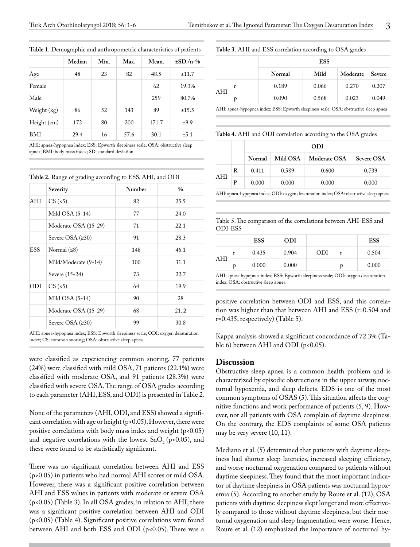|             | Median | Min. | Max. | Mean. | $\pm$ SD./n-% |  |
|-------------|--------|------|------|-------|---------------|--|
| Age         | 48     | 23   | 82   | 48.5  | ±11.7         |  |
| Female      |        |      |      | 62    | 19.3%         |  |
| Male        |        |      |      | 259   | 80.7%         |  |
| Weight (kg) | 86     | 52   | 143  | 89    | ±15.5         |  |
| Height (cm) | 172    | 80   | 200  | 171.7 | ±9.9          |  |
| BMI         | 29.4   | 16   | 57.6 | 30.1  | ±5.1          |  |

**Table 1.** Demographic and anthropometric characteristics of patients

AHI: apnea-hypopnea index; ESS: Epworth sleepiness scale; OSA: obstructive sleep apnea; BMI: body mass index; SD: standard deviation

| Table 2. Range of grading according to ESS, AHI, and ODI |  |
|----------------------------------------------------------|--|
|----------------------------------------------------------|--|

|            | Severity             | Number | $\frac{0}{0}$ |
|------------|----------------------|--------|---------------|
| AHI        | $CS$ (<5)            | 82     | 25.5          |
|            | Mild OSA $(5-14)$    | 77     | 24.0          |
|            | Moderate OSA (15-29) | 71     | 22.1          |
|            | Severe OSA $(≥30)$   | 91     | 28.3          |
| <b>ESS</b> | Normal $(58)$        | 148    | 46.1          |
|            | Mild/Moderate (9-14) | 100    | 31.1          |
|            | Severe (15-24)       | 73     | 22.7          |
| ODI        | $CS$ (<5)            | 64     | 19.9          |
|            | Mild $OSA (5-14)$    | 90     | 28            |
|            | Moderate OSA (15-29) | 68     | 21.2          |
|            | Severe OSA $(≥30)$   | 99     | 30.8          |

AHI: apnea-hypopnea index; ESS: Epworth sleepiness scale; ODI: oxygen desaturation index; CS: common snoring; OSA: obstructive sleep apnea

were classified as experiencing common snoring, 77 patients (24%) were classified with mild OSA, 71 patients (22.1%) were classified with moderate OSA, and 91 patients (28.3%) were classified with severe OSA. The range of OSA grades according to each parameter (AHI, ESS, and ODI) is presented in Table 2.

None of the parameters (AHI, ODI, and ESS) showed a significant correlation with age or height (p>0.05). However, there were positive correlations with body mass index and weight (p<0.05) and negative correlations with the lowest  $SaO<sub>2</sub>$  (p<0.05), and these were found to be statistically significant.

There was no significant correlation between AHI and ESS (p>0.05) in patients who had normal AHI scores or mild OSA. However, there was a significant positive correlation between AHI and ESS values in patients with moderate or severe OSA (p<0.05) (Table 3). In all OSA grades, in relation to AHI, there was a significant positive correlation between AHI and ODI (p<0.05) (Table 4). Significant positive correlations were found between AHI and both ESS and ODI (p<0.05). There was a

#### **Table 3.** AHI and ESS correlation according to OSA grades

|     |   |        | <b>ESS</b> |          |        |
|-----|---|--------|------------|----------|--------|
|     |   | Normal | Mild       | Moderate | Severe |
|     | r | 0.189  | 0.066      | 0.270    | 0.207  |
| AHI | p | 0.090  | 0.568      | 0.023    | 0.049  |
|     |   |        |            |          |        |

AHI: apnea-hypopnea index; ESS: Epworth sleepiness scale; OSA: obstructive sleep apnea

**Table 4.** AHI and ODI correlation according to the OSA grades

|     |   |        |          | ODI          |                   |
|-----|---|--------|----------|--------------|-------------------|
|     |   | Normal | Mild OSA | Moderate OSA | <b>Severe OSA</b> |
|     | R | 0.411  | 0.589    | 0.600        | 0.739             |
| AHI | Р | 0.000  | 0.000    | 0.000        | 0.000             |

AHI: apnea-hypopnea index; ODI: oxygen desaturation index; OSA: obstructive sleep apnea

Table 5. The comparison of the correlations between AHI-ESS and ODI-ESS

|     |   | <b>ESS</b> | <b>ODI</b> |     |   | <b>ESS</b> |
|-----|---|------------|------------|-----|---|------------|
|     |   | 0.435      | 0.904      | ODI |   | 0.504      |
| AHI | p | 0.000      | 0.000      |     | p | 0.000      |

AHI: apnea-hypopnea index; ESS: Epworth sleepiness scale; ODI: oxygen desaturation index; OSA: obstructive sleep apnea

positive correlation between ODI and ESS, and this correlation was higher than that between AHI and ESS (r=0.504 and r=0.435, respectively) (Table 5).

Kappa analysis showed a significant concordance of 72.3% (Table 6) between AHI and ODI ( $p<0.05$ ).

#### **Discussion**

Obstructive sleep apnea is a common health problem and is characterized by episodic obstructions in the upper airway, nocturnal hypoxemia, and sleep defects. EDS is one of the most common symptoms of OSAS (5). This situation affects the cognitive functions and work performance of patients (5, 9). However, not all patients with OSA complain of daytime sleepiness. On the contrary, the EDS complaints of some OSA patients may be very severe (10, 11).

Mediano et al. (5) determined that patients with daytime sleepiness had shorter sleep latencies, increased sleeping efficiency, and worse nocturnal oxygenation compared to patients without daytime sleepiness. They found that the most important indicator of daytime sleepiness in OSA patients was nocturnal hypoxemia (5). According to another study by Roure et al. (12), OSA patients with daytime sleepiness slept longer and more effectively compared to those without daytime sleepiness, but their nocturnal oxygenation and sleep fragmentation were worse. Hence, Roure et al. (12) emphasized the importance of nocturnal hy-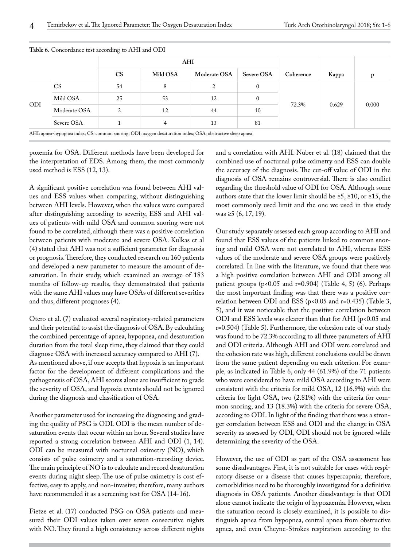|            |              | AHI       |          |              |              |           |       |       |
|------------|--------------|-----------|----------|--------------|--------------|-----------|-------|-------|
|            |              | <b>CS</b> | Mild OSA | Moderate OSA | Severe OSA   | Coherence | Kappa |       |
|            | <b>CS</b>    | 54        | 8        | ∍            | $\mathbf{0}$ |           |       | 0.000 |
|            | Mild OSA     | 25        | 53       | 12           | $\Omega$     |           |       |       |
| <b>ODI</b> | Moderate OSA | 2         | 12       | 44           | 10           | 72.3%     | 0.629 |       |
|            | Severe OSA   |           | 4        | 13           | 81           |           |       |       |

**Table 6.** Concordance test according to AHI and ODI

poxemia for OSA. Different methods have been developed for the interpretation of EDS. Among them, the most commonly used method is ESS (12, 13).

A significant positive correlation was found between AHI values and ESS values when comparing, without distinguishing between AHI levels. However, when the values were compared after distinguishing according to severity, ESS and AHI values of patients with mild OSA and common snoring were not found to be correlated, although there was a positive correlation between patients with moderate and severe OSA. Kulkas et al (4) stated that AHI was not a sufficient parameter for diagnosis or prognosis. Therefore, they conducted research on 160 patients and developed a new parameter to measure the amount of desaturation. In their study, which examined an average of 183 months of follow-up results, they demonstrated that patients with the same AHI values may have OSAs of different severities and thus, different prognoses (4).

Otero et al. (7) evaluated several respiratory-related parameters and their potential to assist the diagnosis of OSA. By calculating the combined percentage of apnea, hypopnea, and desaturation duration from the total sleep time, they claimed that they could diagnose OSA with increased accuracy compared to AHI (7). As mentioned above, if one accepts that hypoxia is an important factor for the development of different complications and the pathogenesis of OSA, AHI scores alone are insufficient to grade the severity of OSA, and hypoxia events should not be ignored during the diagnosis and classification of OSA.

Another parameter used for increasing the diagnosing and grading the quality of PSG is ODI. ODI is the mean number of desaturation events that occur within an hour. Several studies have reported a strong correlation between AHI and ODI (1, 14). ODI can be measured with nocturnal oximetry (NO), which consists of pulse oximetry and a saturation-recording device. The main principle of NO is to calculate and record desaturation events during night sleep. The use of pulse oximetry is cost effective, easy to apply, and non-invasive; therefore, many authors have recommended it as a screening test for OSA (14-16).

Fietze et al. (17) conducted PSG on OSA patients and measured their ODI values taken over seven consecutive nights with NO. They found a high consistency across different nights and a correlation with AHI. Nuber et al. (18) claimed that the combined use of nocturnal pulse oximetry and ESS can double the accuracy of the diagnosis. The cut-off value of ODI in the diagnosis of OSA remains controversial. There is also conflict regarding the threshold value of ODI for OSA. Although some authors state that the lower limit should be  $\ge 5$ ,  $\ge 10$ , or  $\ge 15$ , the most commonly used limit and the one we used in this study was ≥5  $(6, 17, 19)$ .

Our study separately assessed each group according to AHI and found that ESS values of the patients linked to common snoring and mild OSA were not correlated to AHI, whereas ESS values of the moderate and severe OSA groups were positively correlated. In line with the literature, we found that there was a high positive correlation between AHI and ODI among all patient groups ( $p$ <0.05 and  $r$ =0.904) (Table 4, 5) (6). Perhaps the most important finding was that there was a positive correlation between ODI and ESS (p<0.05 and r=0.435) (Table 3, 5), and it was noticeable that the positive correlation between ODI and ESS levels was clearer than that for AHI (p<0.05 and r=0.504) (Table 5). Furthermore, the cohesion rate of our study was found to be 72.3% according to all three parameters of AHI and ODI criteria. Although AHI and ODI were correlated and the cohesion rate was high, different conclusions could be drawn from the same patient depending on each criterion. For example, as indicated in Table 6, only 44 (61.9%) of the 71 patients who were considered to have mild OSA according to AHI were consistent with the criteria for mild OSA, 12 (16.9%) with the criteria for light OSA, two (2.81%) with the criteria for common snoring, and 13 (18.3%) with the criteria for severe OSA, according to ODI. In light of the finding that there was a stronger correlation between ESS and ODI and the change in OSA severity as assessed by ODI, ODI should not be ignored while determining the severity of the OSA.

However, the use of ODI as part of the OSA assessment has some disadvantages. First, it is not suitable for cases with respiratory disease or a disease that causes hypercapnia; therefore, comorbidities need to be thoroughly investigated for a definitive diagnosis in OSA patients. Another disadvantage is that ODI alone cannot indicate the origin of hypoxaemia. However, when the saturation record is closely examined, it is possible to distinguish apnea from hypopnea, central apnea from obstructive apnea, and even Cheyne-Strokes respiration according to the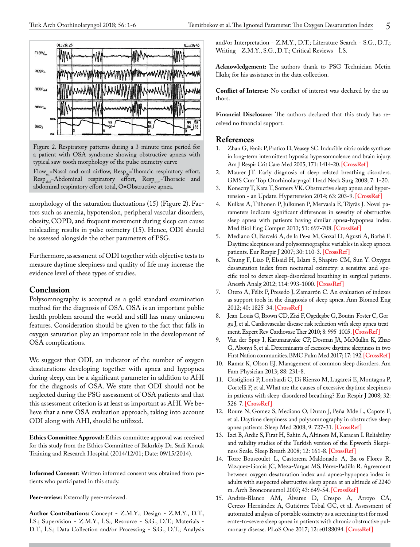

Figure 2. Respiratory patterns during a 3-minute time period for a patient with OSA syndrome showing obstructive apneas with typical saw-tooth morphology of the pulse oximetry curve Flow<sub>na</sub>=Nasal and oral airflow,  $\text{Resp}_{\text{th}}$ =Thoracic respiratory effort, Resp<sub>abd</sub>=Abdominal respiratory effort, Resp<sub>sum</sub>=Thoracic and abdominal respiratory effort total, O=Obstructive apnea.

morphology of the saturation fluctuations (15) (Figure 2). Factors such as anemia, hypotension, peripheral vascular disorders, obesity, COPD, and frequent movement during sleep can cause misleading results in pulse oximetry (15). Hence, ODI should be assessed alongside the other parameters of PSG.

Furthermore, assessment of ODI together with objective tests to measure daytime sleepiness and quality of life may increase the evidence level of these types of studies.

## **Conclusion**

Polysomnography is accepted as a gold standard examination method for the diagnosis of OSA. OSA is an important public health problem around the world and still has many unknown features. Consideration should be given to the fact that falls in oxygen saturation play an important role in the development of OSA complications.

We suggest that ODI, an indicator of the number of oxygen desaturations developing together with apnea and hypopnea during sleep, can be a significant parameter in addition to AHI for the diagnosis of OSA. We state that ODI should not be neglected during the PSG assessment of OSA patients and that this assessment criterion is at least as important as AHI. We believe that a new OSA evaluation approach, taking into account ODI along with AHI, should be utilized.

**Ethics Committee Approval:** Ethics committee approval was received for this study from the Ethics Committee of Bakırköy Dr. Sadi Konuk Training and Research Hospital (2014/12/01; Date: 09/15/2014).

**Informed Consent:** Written informed consent was obtained from patients who participated in this study.

Peer-review: Externally peer-reviewed.

**Author Contributions:** Concept - Z.M.Y.; Design - Z.M.Y., D.T., İ.S.; Supervision - Z.M.Y., İ.S.; Resource - S.G., D.T.; Materials - D.T., İ.S.; Data Collection and/or Processing - S.G., D.T.; Analysis and/or Interpretation - Z.M.Y., D.T.; Literature Search - S.G., D.T.; Writing - Z.M.Y., S.G., D.T.; Critical Reviews - İ.S.

**Acknowledgement:** The authors thank to PSG Technician Metin İlkılıç for his assistance in the data collection.

**Conflict of Interest:** No conflict of interest was declared by the authors.

**Financial Disclosure:** The authors declared that this study has received no financial support.

# **References**<br>1. Zhan G, Fe

- Zhan G, Fenik P, Pratico D, Veasey SC. Inducible nitric oxide synthase in long-term intermittent hypoxia: hypersomnolence and brain injury. Am J Respir Crit Care Med 2005; 171: 1414-20. **[\[CrossRef\]](https://doi.org/10.1164/rccm.200411-1564OC)**
- 2. Maurer JT. Early diagnosis of sleep related breathing disorders. GMS Curr Top Otorhinolaryngol Head Neck Surg 2008; 7: 1-20.
- 3. Konecny T, Kara T, Somers VK. Obstructive sleep apnea and hypertension - an Update. Hypertension 2014; 63: 203-9. **[\[CrossRef\]](https://doi.org/10.1161/HYPERTENSIONAHA.113.00613)**
- 4. Kulkas A, Tiihonen P, Julkunen P, Mervaala E, Töyräs J. Novel parameters indicate significant differences in severity of obstructive sleep apnea with patients having similar apnea-hypopnea index. Med Biol Eng Comput 2013; 51: 697-708. **[\[CrossRef\]](https://doi.org/10.1007/s11517-013-1039-4)**
- 5. Mediano O, Barceló A, de la Pe-a M, Gozal D, Agustí A, Barbé F. Daytime sleepiness and polysomnographic variables in sleep apnoea patients. Eur Respir J 2007; 30: 110-3. **[\[CrossRef\]](https://doi.org/10.1183/09031936.00009506)**
- 6. Chung F, Liao P, Elsaid H, Islam S, Shapiro CM, Sun Y. Oxygen desaturation index from nocturnal oximetry: a sensitive and specific tool to detect sleep-disordered breathing in surgical patients. Anesth Analg 2012; 114: 993-1000. **[\[CrossRef\]](https://doi.org/10.1213/ANE.0b013e318248f4f5)**
- 7. Otero A, Félix P, Presedo J, Zamarrón C. An evaluation of indexes as support tools in the diagnosis of sleep apnea. Ann Biomed Eng 2012; 40: 1825-34. **[\[CrossRef\]](https://doi.org/10.1007/s10439-012-0536-1)**
- 8. Jean-Louis G, Brown CD, Zizi F, Ogedegbe G, Boutin-Foster C, Gorga J, et al. Cardiovascular disease risk reduction with sleep apnea treatment. Expert Rev Cardiovasc Ther 2010; 8: 995-1005. **[\[CrossRef\]](https://doi.org/10.1586/erc.10.55)**
- 9. Van der Spuy I, Karunanayake CP, Dosman JA, McMullin K, Zhao G, Abonyi S, et al. Determinants of excessive daytime sleepiness in two First Nation communities. BMC Pulm Med 2017; 17: 192. **[\[CrossRef\]](https://doi.org/10.1186/s12890-017-0536-x)**
- 10. Ramar K, Olson EJ. Management of common sleep disorders. Am Fam Physician 2013; 88: 231-8.
- 11. Castiglioni P, Lombardi C, Di Rienzo M, Lugaresi E, Montagna P, Cortelli P, et al. What are the causes of excessive daytime sleepiness in patients with sleep-disordered breathing? Eur Respir J 2008; 32: 526-7. **[\[CrossRef\]](https://doi.org/10.1183/09031936.00043308)**
- 12. Roure N, Gomez S, Mediano O, Duran J, Peña Mde L, Capote F, et al. Daytime sleepiness and polysomnography in obstructive sleep apnea patients. Sleep Med 2008; 9: 727-31. **[\[CrossRef\]](https://doi.org/10.1016/j.sleep.2008.02.006)**
- 13. Izci B, Ardic S, Firat H, Sahin A, Altinors M, Karacan I. Reliability and validity studies of the Turkish version of the Epworth Sleepiness Scale. Sleep Breath 2008; 12: 161-8. **[\[CrossRef\]](https://doi.org/10.1007/s11325-007-0145-7)**
- 14. Torre-Bouscoulet L, Castorena-Maldonado A, Ba-os-Flores R, Vázquez-García JC, Meza-Vargas MS, Pérez-Padilla R. Agreement between oxygen desaturation index and apnea-hypopnea index in adults with suspected obstructive sleep apnea at an altitude of 2240 m. Arch Bronconeumol 2007; 43: 649-54. **[\[CrossRef\]](https://doi.org/10.1157/13112962)**
- 15. Andrés-Blanco AM, Álvarez D, Crespo A, Arroyo CA, Cerezo-Hernández A, Gutiérrez-Tobal GC, et al. Assessment of automated analysis of portable oximetry as a screening test for moderate-to-severe sleep apnea in patients with chronic obstructive pulmonary disease. PLoS One 2017; 12: e0188094. **[\[CrossRef\]](https://doi.org/10.1371/journal.pone.0188094)**